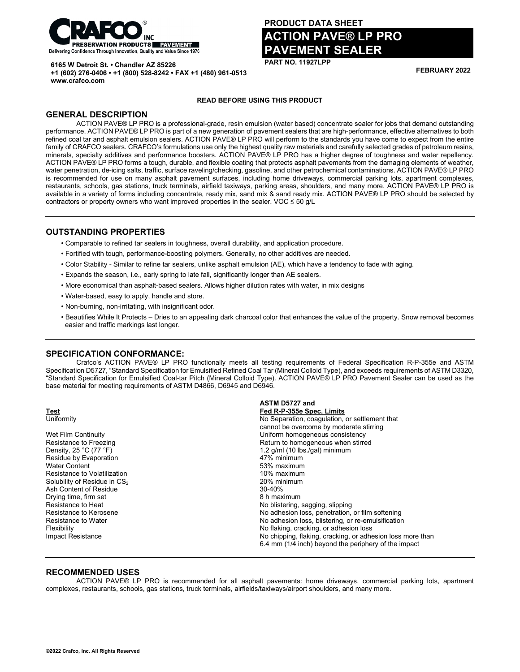

**+1 (602) 276-0406 • +1 (800) 528-8242 • FAX +1 (480) 961-0513**

**6165 W Detroit St. • Chandler AZ 85226**

# **PRODUCT DATA SHEET**

# **ACTION PAVE® LP PRO PAVEMENT SEALER**

**PART NO. 11927LPP**

**FEBRUARY 2022**

# **READ BEFORE USING THIS PRODUCT**

## **GENERAL DESCRIPTION**

**www.crafco.com**

ACTION PAVE® LP PRO is a professional-grade, resin emulsion (water based) concentrate sealer for jobs that demand outstanding performance. ACTION PAVE® LP PRO is part of a new generation of pavement sealers that are high-performance, effective alternatives to both refined coal tar and asphalt emulsion sealers. ACTION PAVE® LP PRO will perform to the standards you have come to expect from the entire family of CRAFCO sealers. CRAFCO's formulations use only the highest quality raw materials and carefully selected grades of petroleum resins, minerals, specialty additives and performance boosters. ACTION PAVE® LP PRO has a higher degree of toughness and water repellency. ACTION PAVE® LP PRO forms a tough, durable, and flexible coating that protects asphalt pavements from the damaging elements of weather, water penetration, de-icing salts, traffic, surface raveling/checking, gasoline, and other petrochemical contaminations. ACTION PAVE® LP PRO is recommended for use on many asphalt pavement surfaces, including home driveways, commercial parking lots, apartment complexes, restaurants, schools, gas stations, truck terminals, airfield taxiways, parking areas, shoulders, and many more. ACTION PAVE® LP PRO is available in a variety of forms including concentrate, ready mix, sand mix & sand ready mix. ACTION PAVE® LP PRO should be selected by contractors or property owners who want improved properties in the sealer. VOC  $\leq$  50 g/L

### **OUTSTANDING PROPERTIES**

- Comparable to refined tar sealers in toughness, overall durability, and application procedure.
- Fortified with tough, performance-boosting polymers. Generally, no other additives are needed.
- Color Stability Similar to refine tar sealers, unlike asphalt emulsion (AE), which have a tendency to fade with aging.
- Expands the season, i.e., early spring to late fall, significantly longer than AE sealers.
- More economical than asphalt-based sealers. Allows higher dilution rates with water, in mix designs
- Water-based, easy to apply, handle and store.
- Non-burning, non-irritating, with insignificant odor.
- Beautifies While It Protects Dries to an appealing dark charcoal color that enhances the value of the property. Snow removal becomes easier and traffic markings last longer.

#### **SPECIFICATION CONFORMANCE:**

Crafco's ACTION PAVE® LP PRO functionally meets all testing requirements of Federal Specification R-P-355e and ASTM Specification D5727, "Standard Specification for Emulsified Refined Coal Tar (Mineral Colloid Type), and exceeds requirements of ASTM D3320, "Standard Specification for Emulsified Coal-tar Pitch (Mineral Colloid Type). ACTION PAVE® LP PRO Pavement Sealer can be used as the base material for meeting requirements of ASTM D4866, D6945 and D6946.

|                                           | ASTM D5727 and                                             |
|-------------------------------------------|------------------------------------------------------------|
| <b>Test</b>                               | Fed R-P-355e Spec. Limits                                  |
| Uniformity                                | No Separation, coagulation, or settlement that             |
|                                           | cannot be overcome by moderate stirring                    |
| Wet Film Continuity                       | Uniform homogeneous consistency                            |
| Resistance to Freezing                    | Return to homogeneous when stirred                         |
| Density, $25 \degree C$ (77 $\degree F$ ) | 1.2 $q/ml$ (10 lbs./gal) minimum                           |
| Residue by Evaporation                    | 47% minimum                                                |
| <b>Water Content</b>                      | 53% maximum                                                |
| Resistance to Volatilization              | 10% maximum                                                |
| Solubility of Residue in CS <sub>2</sub>  | 20% minimum                                                |
| Ash Content of Residue                    | $30 - 40%$                                                 |
| Drying time, firm set                     | 8 h maximum                                                |
| Resistance to Heat                        | No blistering, sagging, slipping                           |
| Resistance to Kerosene                    | No adhesion loss, penetration, or film softening           |
| Resistance to Water                       | No adhesion loss, blistering, or re-emulsification         |
| Flexibility                               | No flaking, cracking, or adhesion loss                     |
| Impact Resistance                         | No chipping, flaking, cracking, or adhesion loss more than |
|                                           | 6.4 mm (1/4 inch) beyond the periphery of the impact       |

#### **RECOMMENDED USES**

ACTION PAVE® LP PRO is recommended for all asphalt pavements: home driveways, commercial parking lots, apartment complexes, restaurants, schools, gas stations, truck terminals, airfields/taxiways/airport shoulders, and many more.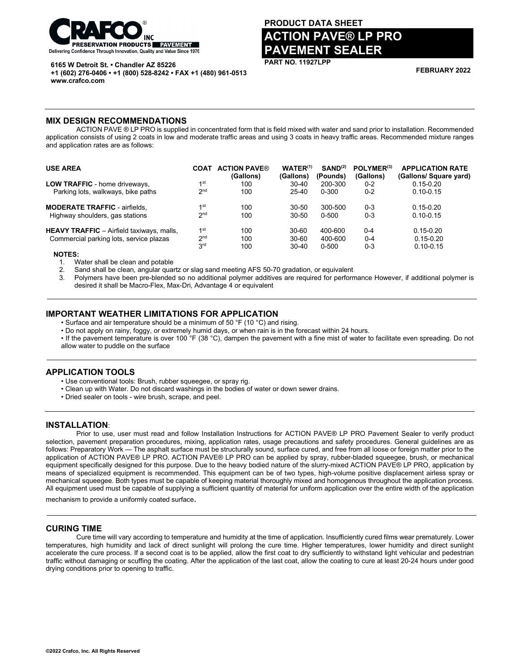

**6165 W Detroit St. • Chandler AZ 85226**

**+1 (602) 276-0406 • +1 (800) 528-8242 • FAX +1 (480) 961-0513 www.crafco.com**

# **PRODUCT DATA SHEET ACTION PAVE® LP PRO PAVEMENT SEALER**

**PART NO. 11927LPP**

**FEBRUARY 2022**

#### **MIX DESIGN RECOMMENDATIONS**

ACTION PAVE ® LP PRO is supplied in concentrated form that is field mixed with water and sand prior to installation. Recommended application consists of using 2 coats in low and moderate traffic areas and using 3 coats in heavy traffic areas. Recommended mixture ranges and application rates are as follows:

| <b>USE AREA</b>                                  | <b>COAT</b>     | <b>ACTION PAVE®</b><br>(Gallons) | $WATER^{(1)}$<br>(Gallons) | SAND <sup>(2)</sup><br>(Pounds) | POLYMER <sup>(3)</sup><br>(Gallons) | <b>APPLICATION RATE</b><br>(Gallons/ Square yard) |
|--------------------------------------------------|-----------------|----------------------------------|----------------------------|---------------------------------|-------------------------------------|---------------------------------------------------|
| <b>LOW TRAFFIC</b> - home driveways,             | 1 <sup>st</sup> | 100                              | $30 - 40$                  | 200-300                         | $0 - 2$                             | $0.15 - 0.20$                                     |
| Parking lots, walkways, bike paths               | 2 <sub>nd</sub> | 100                              | $25 - 40$                  | 0-300                           | $0 - 2$                             | $0.10 - 0.15$                                     |
| <b>MODERATE TRAFFIC - airfields.</b>             | 1 <sup>st</sup> | 100                              | $30 - 50$                  | 300-500                         | $0 - 3$                             | $0.15 - 0.20$                                     |
| Highway shoulders, gas stations                  | 2 <sub>nd</sub> | 100                              | $30 - 50$                  | 0-500                           | $0 - 3$                             | $0.10 - 0.15$                                     |
| <b>HEAVY TRAFFIC</b> - Airfield taxiways, malls, | 1 <sup>st</sup> | 100                              | 30-60                      | 400-600                         | $0 - 4$                             | $0.15 - 0.20$                                     |
| Commercial parking lots, service plazas          | 2 <sub>nd</sub> | 100                              | $30 - 60$                  | 400-600                         | $0 - 4$                             | $0.15 - 0.20$                                     |
|                                                  | 3 <sup>rd</sup> | 100                              | $30 - 40$                  | $0 - 500$                       | $0 - 3$                             | $0.10 - 0.15$                                     |
| $100T - 0.$                                      |                 |                                  |                            |                                 |                                     |                                                   |

 **NOTES:**

1. Water shall be clean and potable

2. Sand shall be clean, angular quartz or slag sand meeting AFS 50-70 gradation, or equivalent

Polymers have been pre-blended so no additional polymer additives are required for performance However, if additional polymer is desired it shall be Macro-Flex, Max-Dri, Advantage 4 or equivalent

#### **IMPORTANT WEATHER LIMITATIONS FOR APPLICATION**

• Surface and air temperature should be a minimum of 50 °F (10 °C) and rising.

• Do not apply on rainy, foggy, or extremely humid days, or when rain is in the forecast within 24 hours.

• If the pavement temperature is over 100 °F (38 °C), dampen the pavement with a fine mist of water to facilitate even spreading. Do not allow water to puddle on the surface

#### **APPLICATION TOOLS**

• Use conventional tools: Brush, rubber squeegee, or spray rig.

- Clean up with Water. Do not discard washings in the bodies of water or down sewer drains.
- Dried sealer on tools wire brush, scrape, and peel.

#### **INSTALLATION**:

Prior to use, user must read and follow Installation Instructions for ACTION PAVE® LP PRO Pavement Sealer to verify product selection, pavement preparation procedures, mixing, application rates, usage precautions and safety procedures. General guidelines are as follows: Preparatory Work — The asphalt surface must be structurally sound, surface cured, and free from all loose or foreign matter prior to the application of ACTION PAVE® LP PRO. ACTION PAVE® LP PRO can be applied by spray, rubber-bladed squeegee, brush, or mechanical equipment specifically designed for this purpose. Due to the heavy bodied nature of the slurry-mixed ACTION PAVE® LP PRO, application by means of specialized equipment is recommended. This equipment can be of two types, high-volume positive displacement airless spray or mechanical squeegee. Both types must be capable of keeping material thoroughly mixed and homogenous throughout the application process. All equipment used must be capable of supplying a sufficient quantity of material for uniform application over the entire width of the application

mechanism to provide a uniformly coated surface.

### **CURING TIME**

Cure time will vary according to temperature and humidity at the time of application. Insufficiently cured films wear prematurely. Lower temperatures, high humidity and lack of direct sunlight will prolong the cure time. Higher temperatures, lower humidity and direct sunlight accelerate the cure process. If a second coat is to be applied, allow the first coat to dry sufficiently to withstand light vehicular and pedestrian traffic without damaging or scuffing the coating. After the application of the last coat, allow the coating to cure at least 20-24 hours under good drying conditions prior to opening to traffic.